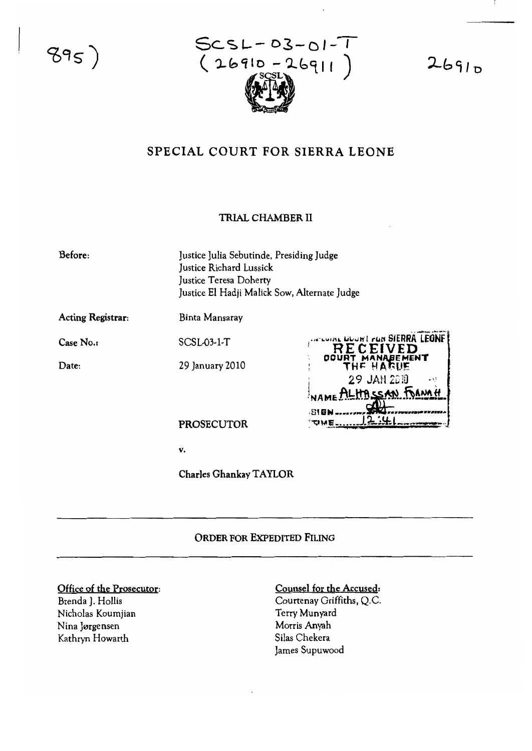$895)$ 



 $2691D$ 

# SPECIAL COURT FOR SIERRA LEONE

## **TRIAL CHAMBER II**

| Before:                  | Justice Julia Sebutinde, Presiding Judge<br>Justice Richard Lussick<br>Justice Teresa Doherty<br>Justice El Hadji Malick Sow, Alternate Judge |                                                              |
|--------------------------|-----------------------------------------------------------------------------------------------------------------------------------------------|--------------------------------------------------------------|
| <b>Acting Registrar:</b> | Binta Mansaray                                                                                                                                |                                                              |
| Case No.:                | SCSL <sub>03</sub> -1-T                                                                                                                       | <b>COUNT OF SIERRA LEONE</b><br>RECEIVED<br>COURT MANABEMENT |
| Date:                    | 29 January 2010                                                                                                                               | THE HARUE                                                    |

Date:

**PROSECUTOR** 

 $\mathbf{v}$ .

Charles Ghankay TAYLOR

### ORDER FOR EXPEDITED FILING

#### Office of the Prosecutor:

Brenda J. Hollis Nicholas Koumjian Nina Jørgensen Kathryn Howarth

### Counsel for the Accused:

ume

29 JAN 2010

TLHASSAN FOANAH

Courtenay Griffiths, Q.C. Terry Munyard Morris Anyah Silas Chekera James Supuwood